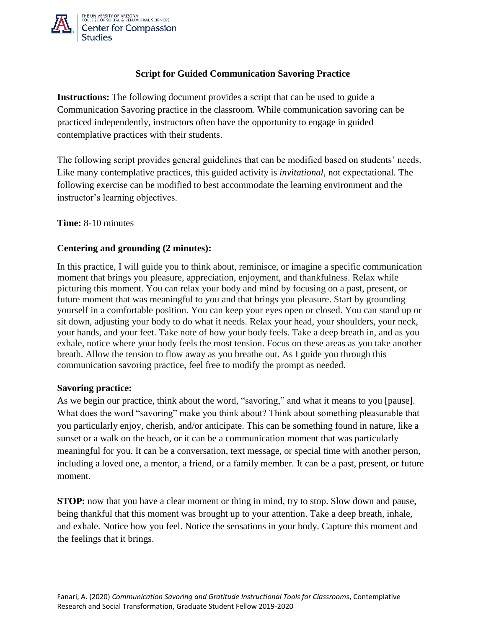

# **Script for Guided Communication Savoring Practice**

**Instructions:** The following document provides a script that can be used to guide a Communication Savoring practice in the classroom. While communication savoring can be practiced independently, instructors often have the opportunity to engage in guided contemplative practices with their students.

The following script provides general guidelines that can be modified based on students' needs. Like many contemplative practices, this guided activity is *invitational*, not expectational. The following exercise can be modified to best accommodate the learning environment and the instructor's learning objectives.

## **Time:** 8-10 minutes

## **Centering and grounding (2 minutes):**

In this practice, I will guide you to think about, reminisce, or imagine a specific communication moment that brings you pleasure, appreciation, enjoyment, and thankfulness. Relax while picturing this moment. You can relax your body and mind by focusing on a past, present, or future moment that was meaningful to you and that brings you pleasure. Start by grounding yourself in a comfortable position. You can keep your eyes open or closed. You can stand up or sit down, adjusting your body to do what it needs. Relax your head, your shoulders, your neck, your hands, and your feet. Take note of how your body feels. Take a deep breath in, and as you exhale, notice where your body feels the most tension. Focus on these areas as you take another breath. Allow the tension to flow away as you breathe out. As I guide you through this communication savoring practice, feel free to modify the prompt as needed.

## **Savoring practice:**

As we begin our practice, think about the word, "savoring," and what it means to you [pause]. What does the word "savoring" make you think about? Think about something pleasurable that you particularly enjoy, cherish, and/or anticipate. This can be something found in nature, like a sunset or a walk on the beach, or it can be a communication moment that was particularly meaningful for you. It can be a conversation, text message, or special time with another person, including a loved one, a mentor, a friend, or a family member. It can be a past, present, or future moment.

**STOP:** now that you have a clear moment or thing in mind, try to stop. Slow down and pause, being thankful that this moment was brought up to your attention. Take a deep breath, inhale, and exhale. Notice how you feel. Notice the sensations in your body. Capture this moment and the feelings that it brings.